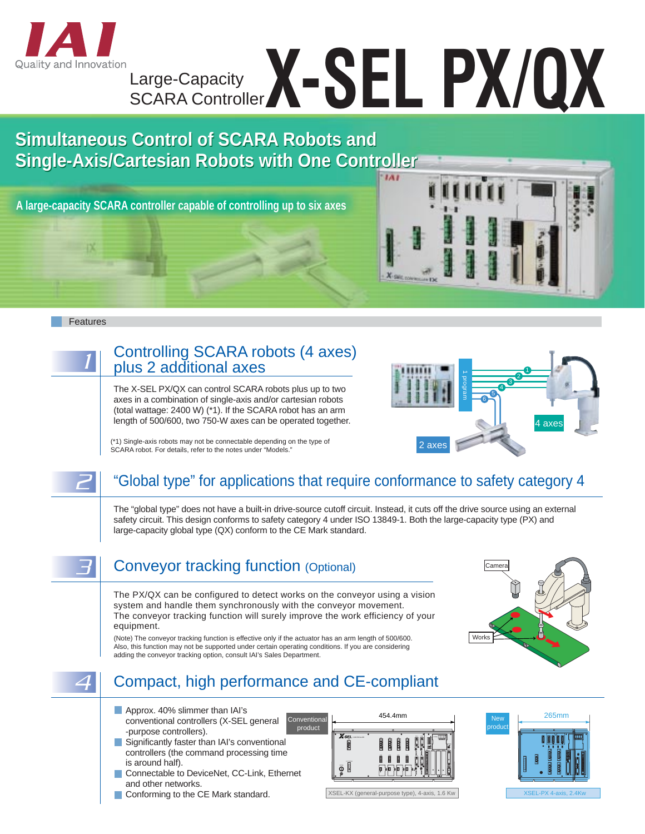

# Large-Capacity Large-Capacity<br>SCARA Controller**X - SEL PX/QX**

# **Simultaneous Control of SCARA Robots and Simultaneous Control of SCARA Robots and Single-Axis/Cartesian Robots with One Controller Single-Axis/Cartesian Robots with One Controller IAI**

**A large-capacity SCARA controller capable of controlling up to six axes**



# Controlling SCARA robots (4 axes) plus 2 additional axes

The X-SEL PX/QX can control SCARA robots plus up to two axes in a combination of single-axis and/or cartesian robots (total wattage: 2400 W) (\*1). If the SCARA robot has an arm length of 500/600, two 750-W axes can be operated together.



(\*1) Single-axis robots may not be connectable depending on the type of SCARA robot. For details, refer to the notes under "Models."

# 2 "Global type" for applications that require conformance to safety category 4

The "global type" does not have a built-in drive-source cutoff circuit. Instead, it cuts off the drive source using an external safety circuit. This design conforms to safety category 4 under ISO 13849-1. Both the large-capacity type (PX) and large-capacity global type (QX) conform to the CE Mark standard.

Conveyor tracking function (Optional)

The PX/QX can be configured to detect works on the conveyor using a vision system and handle them synchronously with the conveyor movement. The conveyor tracking function will surely improve the work efficiency of your equipment.

(Note) The conveyor tracking function is effective only if the actuator has an arm length of 500/600. Also, this function may not be supported under certain operating conditions. If you are considering adding the conveyor tracking option, consult IAI's Sales Department.



# 4 Compact, high performance and CE-compliant

- Approx. 40% slimmer than IAI's conventional controllers (X-SEL general -purpose controllers).
- Significantly faster than IAI's conventional controllers (the command processing time is around half).
- Connectable to DeviceNet, CC-Link, Ethernet and other networks.
- Conforming to the CE Mark standard.



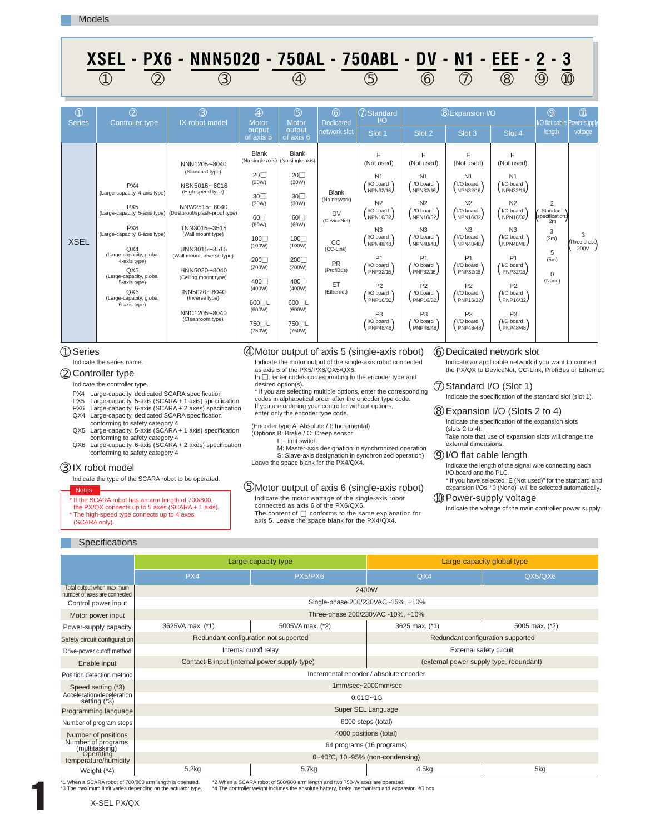|                                | ⋀∪∟∟<br>I WA<br>$\circled{2}$<br>(1)                                                                                                                                                                                                                              | IVIVIVULU<br>$\circled{3}$                                                                                                                                                                                                                                                                                                                           |                                                                                                                                                                           | I UURL<br>$\circled{4}$                                                                                                                                                                            |                                                                                                                            | I UUNDL<br>$\circledS$                                                                                                                                                                                                                                                                        | ט ש<br>$\circled6$                                                                                                                                                                                                                                                                               | 14 I<br>$\circled{T}$                                                                                                                                                                                                                                                                             | ---<br>(8)                                                                                                                                                                                                                                                                                       | v<br>$\circled{9}$                                                                         | 10                       |
|--------------------------------|-------------------------------------------------------------------------------------------------------------------------------------------------------------------------------------------------------------------------------------------------------------------|------------------------------------------------------------------------------------------------------------------------------------------------------------------------------------------------------------------------------------------------------------------------------------------------------------------------------------------------------|---------------------------------------------------------------------------------------------------------------------------------------------------------------------------|----------------------------------------------------------------------------------------------------------------------------------------------------------------------------------------------------|----------------------------------------------------------------------------------------------------------------------------|-----------------------------------------------------------------------------------------------------------------------------------------------------------------------------------------------------------------------------------------------------------------------------------------------|--------------------------------------------------------------------------------------------------------------------------------------------------------------------------------------------------------------------------------------------------------------------------------------------------|---------------------------------------------------------------------------------------------------------------------------------------------------------------------------------------------------------------------------------------------------------------------------------------------------|--------------------------------------------------------------------------------------------------------------------------------------------------------------------------------------------------------------------------------------------------------------------------------------------------|--------------------------------------------------------------------------------------------|--------------------------|
| $\circled{0}$<br><b>Series</b> | (2)<br>Controller type                                                                                                                                                                                                                                            | $\circled{3}$<br>IX robot model                                                                                                                                                                                                                                                                                                                      | $\circled{4}$<br>Motor<br>output<br>of axis 5                                                                                                                             | (5)<br>Motor<br>output<br>of $axis 6$                                                                                                                                                              | $\circledR$<br><b>Dedicated</b><br>network slot                                                                            | 7 Standard<br>$\overline{1/O}$<br>Slot 1                                                                                                                                                                                                                                                      | Slot 2                                                                                                                                                                                                                                                                                           | <b>8 Expansion I/O</b><br>Slot 3                                                                                                                                                                                                                                                                  | Slot 4                                                                                                                                                                                                                                                                                           | (9)<br>I/O flat cable Power-supply<br>length                                               | (1)<br>voltage           |
| <b>XSEL</b>                    | PX4<br>(Large-capacity, 4-axis type)<br>PX <sub>5</sub><br>PX <sub>6</sub><br>(Large-capacity, 6-axis type)<br>QX4<br>(Large-capacity, global<br>4-axis type)<br>QX5<br>(Large-capacity, global<br>5-axis type)<br>QX6<br>(Large-capacity, global<br>6-axis type) | NNN1205~8040<br>(Standard type)<br>NSN5016~6016<br>(High-speed type)<br>NNW2515~8040<br>(Large-capacity, 5-axis type) (Dustproof/splash-proof type)<br>TNN3015~3515<br>(Wall mount type)<br>UNN3015~3515<br>(Wall mount, inverse type)<br>HNN5020~8040<br>(Ceiling mount type)<br>INN5020~8040<br>(Inverse type)<br>NNC1205~8040<br>(Cleanroom type) | <b>Blank</b><br>$20\Box$<br>(20W)<br>$30-1$<br>(30W)<br>60<br>(60W)<br>100<br>(100W)<br>200<br>(200W)<br>400<br>(400W)<br>$600$ L<br>(600W)<br>750 <sup>L</sup><br>(750W) | <b>Blank</b><br>(No single axis) (No single axis)<br>$20\square$<br>(20W)<br>30<br>(30W)<br>60<br>(60W)<br>100<br>(100W)<br>200<br>(200W)<br>400<br>(400W)<br>$600$ L<br>(600W)<br>750□L<br>(750W) | <b>Blank</b><br>(No network)<br><b>DV</b><br>(DeviceNet)<br>CC<br>(CC-Link)<br><b>PR</b><br>(ProfiBus)<br>ET<br>(Ethernet) | E<br>(Not used)<br>N <sub>1</sub><br>/ I/O board<br>NPN32/16<br>N <sub>2</sub><br>/ I/O board<br>NPN16/32<br>N <sub>3</sub><br>/ I/O board<br>NPN48/48<br>P <sub>1</sub><br>/ I/O board<br>PNP32/16<br>P <sub>2</sub><br>/ I/O board<br>PNP16/32<br>P <sub>3</sub><br>/ I/O board<br>PNP48/48 | E<br>(Not used)<br>N <sub>1</sub><br>/ I/O board<br>NPN32/16<br>N <sub>2</sub><br>/ I/O board \<br>NPN16/32<br>N <sub>3</sub><br>/ I/O board<br>NPN48/48<br>P <sub>1</sub><br>/ //O board \<br>PNP32/16<br>P <sub>2</sub><br>/ I/O board<br>PNP16/32<br>P <sub>3</sub><br>/ VO board<br>PNP48/48 | E<br>(Not used)<br>N <sub>1</sub><br>/ I/O board<br>NPN32/16<br>N <sub>2</sub><br>/ I/O board<br>NPN16/32<br>N <sub>3</sub><br>/ I/O board<br>NPN48/48<br>P <sub>1</sub><br>/ I/O board \<br>PNP32/16<br>P <sub>2</sub><br>/ I/O board<br>PNP16/32<br>P <sub>3</sub><br>/ I/O board \<br>PNP48/48 | E<br>(Not used)<br>N <sub>1</sub><br>/ I/O board \<br>NPN32/16<br>N <sub>2</sub><br>/ I/O board<br>NPN16/32<br>N <sub>3</sub><br>/I/O board<br>NPN48/48<br>P <sub>1</sub><br>/ I/O board \<br>PNP32/16<br>P <sub>2</sub><br>/ I/O board<br>PNP16/32<br>P <sub>3</sub><br>/ I/O board<br>PNP48/48 | 2<br>Standard \<br>specification:<br>2m<br>3<br>(3m)<br>5<br>(5m)<br>$\mathbf 0$<br>(None) | 3<br>Three-phase<br>200V |

**XSEL - PX6 - NNN5020 - 750AL - 750ABL - DV - N1 - EEE - 2 - 3**

# Series ➀

## Indicate the series name.

# 2 Controller type

Indicate the controller type.

- PX4 Large-capacity, dedicated SCARA specification
- PX5 Large-capacity, 5-axis (SCARA + 1 axis) specification PX6 Large-capacity, 6-axis (SCARA + 2 axes) specification

## QX4 Large-capacity, dedicated SCARA specification conforming to safety category 4

- QX5 Large-capacity, 5-axis (SCARA + 1 axis) specification conforming to safety category 4 Large-capacity, 6-axis (SCARA + 2 axes) specification QX6
- conforming to safety category 4

# IX robot model ➂

Indicate the type of the SCARA robot to be operated.

### es

If the SCARA robot has an arm length of 700/800,

the PX/QX connects up to 5 axes (SCARA + 1 axis).

The high-speed type connects up to 4 axes (SCARA only).

# Motor output of axis 5 (single-axis robot) ➃ Indicate the motor output of the single-axis robot connected

as axis 5 of the PX5/PX6/QX5/QX6.

In  $\square$ , enter codes corresponding to the encoder type and

desired option(s).

\* If you are selecting multiple options, enter the corresponding codes in alphabetical order after the encoder type code. If you are ordering your controller without options, enter only the encoder type code.

(Encoder type A: Absolute / I: Incremental)

# (Options B: Brake / C: Creep sensor

L: Limit switch

M: Master-axis designation in synchronized operation S: Slave-axis designation in synchronized operation) Leave the space blank for the PX4/QX4.

# Motor output of axis 6 (single-axis robot) ➄ Indicate the motor wattage of the single-axis robot

connected as axis 6 of the PX6/QX6. The content of  $\square$  conforms to the same explanation for

axis 5. Leave the space blank for the PX4/QX4.

# Dedicated network slot ➅

Indicate an applicable network if you want to connect the PX/QX to DeviceNet, CC-Link, ProfiBus or Ethernet.

 $\oslash$  Standard I/O (Slot 1) Indicate the specification of the standard slot (slot 1).

Expansion I/O (Slots 2 to 4) ➇ Indicate the specification of the expansion slots (slots 2 to 4). Take note that use of expansion slots will change the

external dimensions.

# I/O flat cable length ➈

Indicate the length of the signal wire connecting each I/O board and the PLC.

# \* If you have selected "E (Not used)" for the standard and expansion I/Os, "0 (None)" will be selected automatically. **10 Power-supply voltage**

Indicate the voltage of the main controller power supply.

# **Specifications**

|                                                           |                                              | Large-capacity type                    |                                    | Large-capacity global type              |  |  |  |  |
|-----------------------------------------------------------|----------------------------------------------|----------------------------------------|------------------------------------|-----------------------------------------|--|--|--|--|
|                                                           | PX4                                          | PX5/PX6                                | QX4                                | QX5/QX6                                 |  |  |  |  |
| Total output when maximum<br>number of axes are connected | 2400W                                        |                                        |                                    |                                         |  |  |  |  |
| Control power input                                       |                                              |                                        | Single-phase 200/230VAC -15%, +10% |                                         |  |  |  |  |
| Motor power input                                         |                                              | Three-phase 200/230VAC -10%, +10%      |                                    |                                         |  |  |  |  |
| Power-supply capacity                                     | 3625VA max. (*1)                             | 5005VA max. (*2)                       | 3625 max. (*1)                     | 5005 max. (*2)                          |  |  |  |  |
| Safety circuit configuration                              |                                              | Redundant configuration not supported  |                                    | Redundant configuration supported       |  |  |  |  |
| Drive-power cutoff method                                 |                                              | Internal cutoff relay                  |                                    | External safety circuit                 |  |  |  |  |
| Enable input                                              | Contact-B input (internal power supply type) |                                        |                                    | (external power supply type, redundant) |  |  |  |  |
| Position detection method                                 |                                              | Incremental encoder / absolute encoder |                                    |                                         |  |  |  |  |
| Speed setting (*3)                                        | 1mm/sec~2000mm/sec                           |                                        |                                    |                                         |  |  |  |  |
| Acceleration/deceleration<br>setting (*3)                 |                                              | $0.01G - 1G$                           |                                    |                                         |  |  |  |  |
| Programming language                                      |                                              | Super SEL Language                     |                                    |                                         |  |  |  |  |
| Number of program steps                                   |                                              | 6000 steps (total)                     |                                    |                                         |  |  |  |  |
| 4000 positions (total)<br>Number of positions             |                                              |                                        |                                    |                                         |  |  |  |  |
| Number of programs<br>(multitasking)                      |                                              | 64 programs (16 programs)              |                                    |                                         |  |  |  |  |
| Operating<br>temperature/humidity                         |                                              | 0~40°C, 10~95% (non-condensing)        |                                    |                                         |  |  |  |  |
| Weight (*4)                                               | 5.2kg                                        | 5.7kg                                  | 4.5kg                              | 5kg                                     |  |  |  |  |

1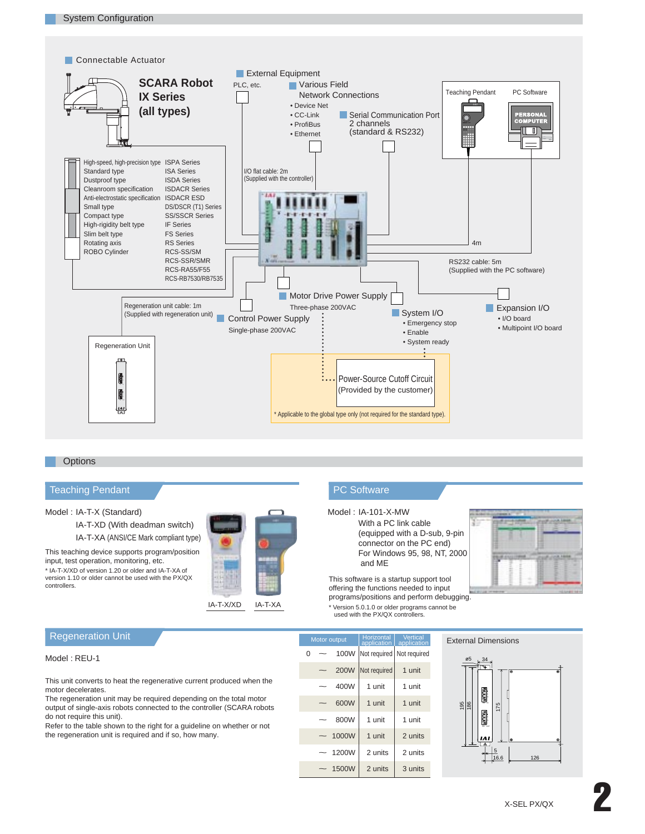



## **Options**

# Teaching Pendant **Public PC** Software

# Model : IA-T-X (Standard)

IA-T-XD (With deadman switch) IA-T-XA (ANSI/CE Mark compliant type)

This teaching device supports program/position input, test operation, monitoring, etc. \* IA-T-X/XD of version 1.20 or older and IA-T-XA of version 1.10 or older cannot be used with the PX/QX controllers.



# Model : IA-101-X-MW

With a PC link cable (equipped with a D-sub, 9-pin connector on the PC end) For Windows 95, 98, NT, 2000 and ME



This software is a startup support tool offering the functions needed to input programs/positions and perform debugging. \* Version 5.0.1.0 or older programs cannot be used with the PX/QX controllers.

# Regeneration Unit

# Model : REU-1

This unit converts to heat the regenerative current produced when the motor decelerates.

The regeneration unit may be required depending on the total motor output of single-axis robots connected to the controller (SCARA robots do not require this unit).

Refer to the table shown to the right for a guideline on whether or not the regeneration unit is required and if so, how many.

| <b>IVIOLUI UULPUL</b> |                          |             |                             | application   application |  |  |
|-----------------------|--------------------------|-------------|-----------------------------|---------------------------|--|--|
| $\Omega$              |                          | 100W        | Not required   Not required |                           |  |  |
|                       |                          | <b>200W</b> | Not required                | 1 unit                    |  |  |
|                       |                          | 400W        | 1 unit                      | 1 unit                    |  |  |
|                       |                          | 600W        | 1 unit                      | 1 unit                    |  |  |
|                       |                          | 800W        | 1 unit                      | 1 unit                    |  |  |
|                       | $\overline{\phantom{0}}$ | 1000W       | 1 unit                      | 2 units                   |  |  |
|                       |                          | 1200W       | 2 units                     | 2 units                   |  |  |
|                       |                          | 1500W       | 2 units                     | 3 units                   |  |  |

Motor output | Horizontal | Vertical

ø5 34 RB+ RB- 195 186 RB RB -RB IN 175<br>175 ř 16.6 126

**External Dimensions**